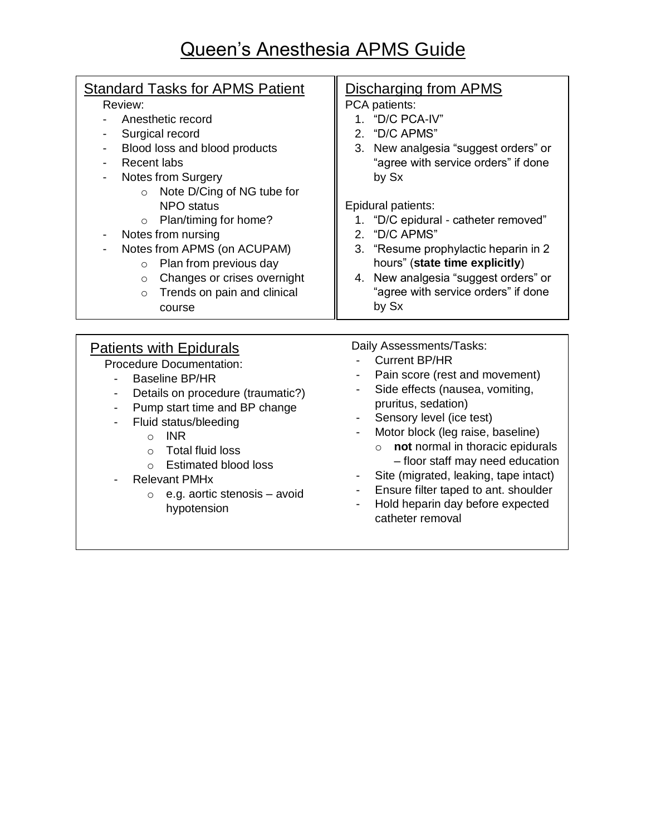## Queen's Anesthesia APMS Guide

## Patients with Epidurals Procedure Documentation: - Baseline BP/HR - Details on procedure (traumatic?) Daily Assessments/Tasks: - Current BP/HR - Pain score (rest and movement) - Side effects (nausea, vomiting, **Standard Tasks for APMS Patient** Review: - Anesthetic record Surgical record Blood loss and blood products Recent labs Notes from Surgery o Note D/Cing of NG tube for NPO status o Plan/timing for home? Notes from nursing Notes from APMS (on ACUPAM) o Plan from previous day o Changes or crises overnight o Trends on pain and clinical course Discharging from APMS PCA patients: 1. "D/C PCA-IV" 2. "D/C APMS" 3. New analgesia "suggest orders" or "agree with service orders" if done by Sx Epidural patients: 1. "D/C epidural - catheter removed" 2. "D/C APMS" 3. "Resume prophylactic heparin in 2 hours" (**state time explicitly**) 4. New analgesia "suggest orders" or "agree with service orders" if done by Sx

- Pump start time and BP change
- Fluid status/bleeding
	- o INR
	- o Total fluid loss
	- o Estimated blood loss
	- Relevant PMHx
		- o e.g. aortic stenosis avoid hypotension
- pruritus, sedation)
- Sensory level (ice test)
- Motor block (leg raise, baseline) o **not** normal in thoracic epidurals
	- floor staff may need education
- Site (migrated, leaking, tape intact)
- Ensure filter taped to ant. shoulder
- Hold heparin day before expected catheter removal